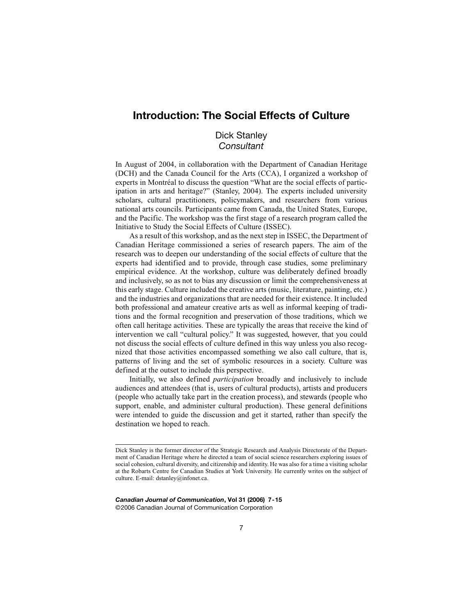# **Introduction: The Social Effects of Culture**

# Dick Stanley *Consultant*

In August of 2004, in collaboration with the Department of Canadian Heritage (DCH) and the Canada Council for the Arts (CCA), I organized a workshop of experts in Montréal to discuss the question "What are the social effects of participation in arts and heritage?" (Stanley, 2004). The experts included university scholars, cultural practitioners, policymakers, and researchers from various national arts councils. Participants came from Canada, the United States, Europe, and the Pacific. The workshop was the first stage of a research program called the Initiative to Study the Social Effects of Culture (ISSEC).

As a result of this workshop, and as the next step in ISSEC, the Department of Canadian Heritage commissioned a series of research papers. The aim of the research was to deepen our understanding of the social effects of culture that the experts had identified and to provide, through case studies, some preliminary empirical evidence. At the workshop, culture was deliberately defined broadly and inclusively, so as not to bias any discussion or limit the comprehensiveness at this early stage. Culture included the creative arts (music, literature, painting, etc.) and the industries and organizations that are needed for their existence. It included both professional and amateur creative arts as well as informal keeping of traditions and the formal recognition and preservation of those traditions, which we often call heritage activities. These are typically the areas that receive the kind of intervention we call "cultural policy." It was suggested, however, that you could not discuss the social effects of culture defined in this way unless you also recognized that those activities encompassed something we also call culture, that is, patterns of living and the set of symbolic resources in a society. Culture was defined at the outset to include this perspective.

Initially, we also defined *participation* broadly and inclusively to include audiences and attendees (that is, users of cultural products), artists and producers (people who actually take part in the creation process), and stewards (people who support, enable, and administer cultural production). These general definitions were intended to guide the discussion and get it started, rather than specify the destination we hoped to reach.

*Canadian Journal of Communication***, Vol 31 (2006) 7-15** ©2006 Canadian Journal of Communication Corporation

Dick Stanley is the former director of the Strategic Research and Analysis Directorate of the Department of Canadian Heritage where he directed a team of social science researchers exploring issues of social cohesion, cultural diversity, and citizenship and identity. He was also for a time a visiting scholar at the Robarts Centre for Canadian Studies at York University. He currently writes on the subject of culture. E-mail: dstanley@infonet.ca.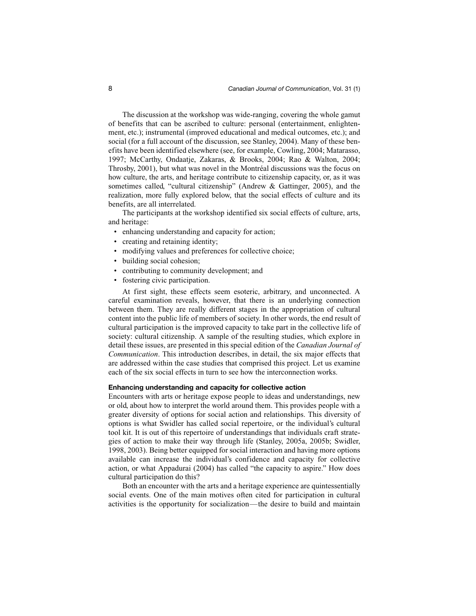The discussion at the workshop was wide-ranging, covering the whole gamut of benefits that can be ascribed to culture: personal (entertainment, enlightenment, etc.); instrumental (improved educational and medical outcomes, etc.); and social (for a full account of the discussion, see Stanley, 2004). Many of these benefits have been identified elsewhere (see, for example, Cowling, 2004; Matarasso, 1997; McCarthy, Ondaatje, Zakaras, & Brooks, 2004; Rao & Walton, 2004; Throsby, 2001), but what was novel in the Montréal discussions was the focus on how culture, the arts, and heritage contribute to citizenship capacity, or, as it was sometimes called, "cultural citizenship" (Andrew & Gattinger, 2005), and the realization, more fully explored below, that the social effects of culture and its benefits, are all interrelated.

The participants at the workshop identified six social effects of culture, arts, and heritage:

- enhancing understanding and capacity for action;
- creating and retaining identity;
- modifying values and preferences for collective choice;
- building social cohesion;
- contributing to community development; and
- fostering civic participation.

At first sight, these effects seem esoteric, arbitrary, and unconnected. A careful examination reveals, however, that there is an underlying connection between them. They are really different stages in the appropriation of cultural content into the public life of members of society. In other words, the end result of cultural participation is the improved capacity to take part in the collective life of society: cultural citizenship. A sample of the resulting studies, which explore in detail these issues, are presented in this special edition of the *Canadian Journal of Communication*. This introduction describes, in detail, the six major effects that are addressed within the case studies that comprised this project. Let us examine each of the six social effects in turn to see how the interconnection works.

### **Enhancing understanding and capacity for collective action**

Encounters with arts or heritage expose people to ideas and understandings, new or old, about how to interpret the world around them. This provides people with a greater diversity of options for social action and relationships. This diversity of options is what Swidler has called social repertoire, or the individual's cultural tool kit. It is out of this repertoire of understandings that individuals craft strategies of action to make their way through life (Stanley, 2005a, 2005b; Swidler, 1998, 2003). Being better equipped for social interaction and having more options available can increase the individual's confidence and capacity for collective action, or what Appadurai (2004) has called "the capacity to aspire." How does cultural participation do this?

Both an encounter with the arts and a heritage experience are quintessentially social events. One of the main motives often cited for participation in cultural activities is the opportunity for socialization—the desire to build and maintain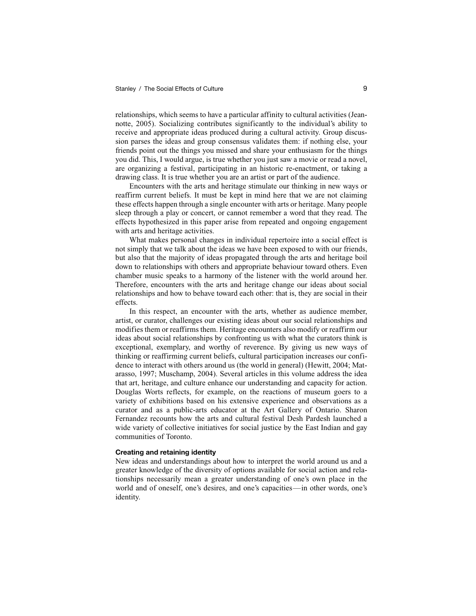relationships, which seems to have a particular affinity to cultural activities (Jeannotte, 2005). Socializing contributes significantly to the individual's ability to receive and appropriate ideas produced during a cultural activity. Group discussion parses the ideas and group consensus validates them: if nothing else, your friends point out the things you missed and share your enthusiasm for the things you did. This, I would argue, is true whether you just saw a movie or read a novel, are organizing a festival, participating in an historic re-enactment, or taking a drawing class. It is true whether you are an artist or part of the audience.

Encounters with the arts and heritage stimulate our thinking in new ways or reaffirm current beliefs. It must be kept in mind here that we are not claiming these effects happen through a single encounter with arts or heritage. Many people sleep through a play or concert, or cannot remember a word that they read. The effects hypothesized in this paper arise from repeated and ongoing engagement with arts and heritage activities.

What makes personal changes in individual repertoire into a social effect is not simply that we talk about the ideas we have been exposed to with our friends, but also that the majority of ideas propagated through the arts and heritage boil down to relationships with others and appropriate behaviour toward others. Even chamber music speaks to a harmony of the listener with the world around her. Therefore, encounters with the arts and heritage change our ideas about social relationships and how to behave toward each other: that is, they are social in their effects.

In this respect, an encounter with the arts, whether as audience member, artist, or curator, challenges our existing ideas about our social relationships and modifies them or reaffirms them. Heritage encounters also modify or reaffirm our ideas about social relationships by confronting us with what the curators think is exceptional, exemplary, and worthy of reverence. By giving us new ways of thinking or reaffirming current beliefs, cultural participation increases our confidence to interact with others around us (the world in general) (Hewitt, 2004; Matarasso, 1997; Muschamp, 2004). Several articles in this volume address the idea that art, heritage, and culture enhance our understanding and capacity for action. Douglas Worts reflects, for example, on the reactions of museum goers to a variety of exhibitions based on his extensive experience and observations as a curator and as a public-arts educator at the Art Gallery of Ontario. Sharon Fernandez recounts how the arts and cultural festival Desh Pardesh launched a wide variety of collective initiatives for social justice by the East Indian and gay communities of Toronto.

#### **Creating and retaining identity**

New ideas and understandings about how to interpret the world around us and a greater knowledge of the diversity of options available for social action and relationships necessarily mean a greater understanding of one's own place in the world and of oneself, one's desires, and one's capacities—in other words, one's identity.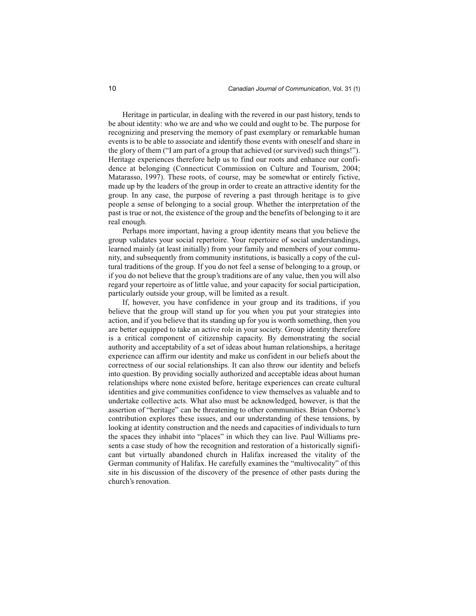Heritage in particular, in dealing with the revered in our past history, tends to be about identity: who we are and who we could and ought to be. The purpose for recognizing and preserving the memory of past exemplary or remarkable human events is to be able to associate and identify those events with oneself and share in the glory of them ("I am part of a group that achieved (or survived) such things!"). Heritage experiences therefore help us to find our roots and enhance our confidence at belonging (Connecticut Commission on Culture and Tourism, 2004; Matarasso, 1997). These roots, of course, may be somewhat or entirely fictive, made up by the leaders of the group in order to create an attractive identity for the group. In any case, the purpose of revering a past through heritage is to give people a sense of belonging to a social group. Whether the interpretation of the past is true or not, the existence of the group and the benefits of belonging to it are real enough.

Perhaps more important, having a group identity means that you believe the group validates your social repertoire. Your repertoire of social understandings, learned mainly (at least initially) from your family and members of your community, and subsequently from community institutions, is basically a copy of the cultural traditions of the group. If you do not feel a sense of belonging to a group, or if you do not believe that the group's traditions are of any value, then you will also regard your repertoire as of little value, and your capacity for social participation, particularly outside your group, will be limited as a result.

If, however, you have confidence in your group and its traditions, if you believe that the group will stand up for you when you put your strategies into action, and if you believe that its standing up for you is worth something, then you are better equipped to take an active role in your society. Group identity therefore is a critical component of citizenship capacity. By demonstrating the social authority and acceptability of a set of ideas about human relationships, a heritage experience can affirm our identity and make us confident in our beliefs about the correctness of our social relationships. It can also throw our identity and beliefs into question. By providing socially authorized and acceptable ideas about human relationships where none existed before, heritage experiences can create cultural identities and give communities confidence to view themselves as valuable and to undertake collective acts. What also must be acknowledged, however, is that the assertion of "heritage" can be threatening to other communities. Brian Osborne's contribution explores these issues, and our understanding of these tensions, by looking at identity construction and the needs and capacities of individuals to turn the spaces they inhabit into "places" in which they can live. Paul Williams presents a case study of how the recognition and restoration of a historically significant but virtually abandoned church in Halifax increased the vitality of the German community of Halifax. He carefully examines the "multivocality" of this site in his discussion of the discovery of the presence of other pasts during the church's renovation.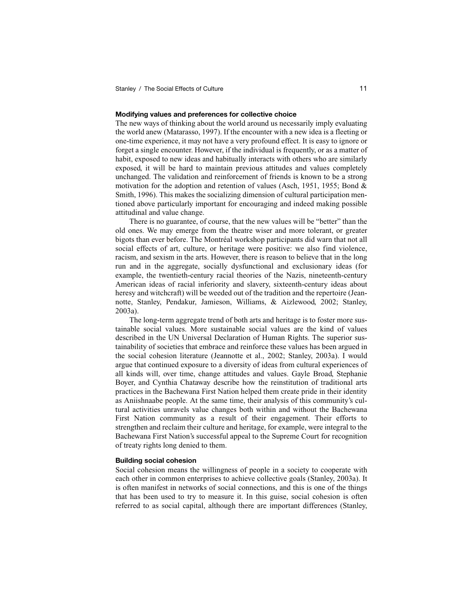#### **Modifying values and preferences for collective choice**

The new ways of thinking about the world around us necessarily imply evaluating the world anew (Matarasso, 1997). If the encounter with a new idea is a fleeting or one-time experience, it may not have a very profound effect. It is easy to ignore or forget a single encounter. However, if the individual is frequently, or as a matter of habit, exposed to new ideas and habitually interacts with others who are similarly exposed, it will be hard to maintain previous attitudes and values completely unchanged. The validation and reinforcement of friends is known to be a strong motivation for the adoption and retention of values (Asch, 1951, 1955; Bond & Smith, 1996). This makes the socializing dimension of cultural participation mentioned above particularly important for encouraging and indeed making possible attitudinal and value change.

There is no guarantee, of course, that the new values will be "better" than the old ones. We may emerge from the theatre wiser and more tolerant, or greater bigots than ever before. The Montréal workshop participants did warn that not all social effects of art, culture, or heritage were positive: we also find violence, racism, and sexism in the arts. However, there is reason to believe that in the long run and in the aggregate, socially dysfunctional and exclusionary ideas (for example, the twentieth-century racial theories of the Nazis, nineteenth-century American ideas of racial inferiority and slavery, sixteenth-century ideas about heresy and witchcraft) will be weeded out of the tradition and the repertoire (Jeannotte, Stanley, Pendakur, Jamieson, Williams, & Aizlewood, 2002; Stanley, 2003a).

The long-term aggregate trend of both arts and heritage is to foster more sustainable social values. More sustainable social values are the kind of values described in the UN Universal Declaration of Human Rights. The superior sustainability of societies that embrace and reinforce these values has been argued in the social cohesion literature (Jeannotte et al., 2002; Stanley, 2003a). I would argue that continued exposure to a diversity of ideas from cultural experiences of all kinds will, over time, change attitudes and values. Gayle Broad, Stephanie Boyer, and Cynthia Chataway describe how the reinstitution of traditional arts practices in the Bachewana First Nation helped them create pride in their identity as Aniishnaabe people. At the same time, their analysis of this community's cultural activities unravels value changes both within and without the Bachewana First Nation community as a result of their engagement. Their efforts to strengthen and reclaim their culture and heritage, for example, were integral to the Bachewana First Nation's successful appeal to the Supreme Court for recognition of treaty rights long denied to them.

#### **Building social cohesion**

Social cohesion means the willingness of people in a society to cooperate with each other in common enterprises to achieve collective goals (Stanley, 2003a). It is often manifest in networks of social connections, and this is one of the things that has been used to try to measure it. In this guise, social cohesion is often referred to as social capital, although there are important differences (Stanley,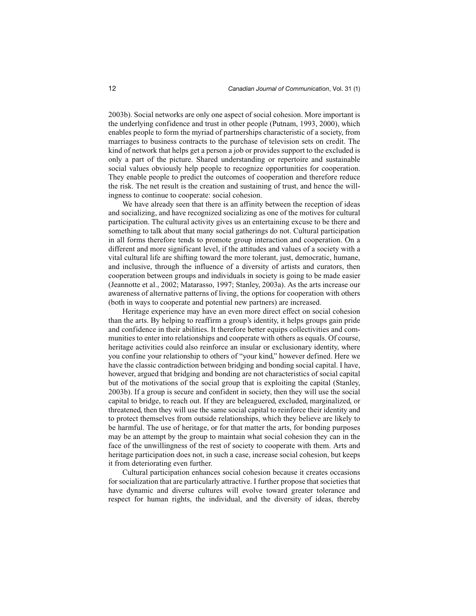2003b). Social networks are only one aspect of social cohesion. More important is the underlying confidence and trust in other people (Putnam, 1993, 2000), which enables people to form the myriad of partnerships characteristic of a society, from marriages to business contracts to the purchase of television sets on credit. The kind of network that helps get a person a job or provides support to the excluded is only a part of the picture. Shared understanding or repertoire and sustainable social values obviously help people to recognize opportunities for cooperation. They enable people to predict the outcomes of cooperation and therefore reduce the risk. The net result is the creation and sustaining of trust, and hence the willingness to continue to cooperate: social cohesion.

We have already seen that there is an affinity between the reception of ideas and socializing, and have recognized socializing as one of the motives for cultural participation. The cultural activity gives us an entertaining excuse to be there and something to talk about that many social gatherings do not. Cultural participation in all forms therefore tends to promote group interaction and cooperation. On a different and more significant level, if the attitudes and values of a society with a vital cultural life are shifting toward the more tolerant, just, democratic, humane, and inclusive, through the influence of a diversity of artists and curators, then cooperation between groups and individuals in society is going to be made easier (Jeannotte et al., 2002; Matarasso, 1997; Stanley, 2003a). As the arts increase our awareness of alternative patterns of living, the options for cooperation with others (both in ways to cooperate and potential new partners) are increased.

Heritage experience may have an even more direct effect on social cohesion than the arts. By helping to reaffirm a group's identity, it helps groups gain pride and confidence in their abilities. It therefore better equips collectivities and communities to enter into relationships and cooperate with others as equals. Of course, heritage activities could also reinforce an insular or exclusionary identity, where you confine your relationship to others of "your kind," however defined. Here we have the classic contradiction between bridging and bonding social capital. I have, however, argued that bridging and bonding are not characteristics of social capital but of the motivations of the social group that is exploiting the capital (Stanley, 2003b). If a group is secure and confident in society, then they will use the social capital to bridge, to reach out. If they are beleaguered, excluded, marginalized, or threatened, then they will use the same social capital to reinforce their identity and to protect themselves from outside relationships, which they believe are likely to be harmful. The use of heritage, or for that matter the arts, for bonding purposes may be an attempt by the group to maintain what social cohesion they can in the face of the unwillingness of the rest of society to cooperate with them. Arts and heritage participation does not, in such a case, increase social cohesion, but keeps it from deteriorating even further.

Cultural participation enhances social cohesion because it creates occasions for socialization that are particularly attractive. I further propose that societies that have dynamic and diverse cultures will evolve toward greater tolerance and respect for human rights, the individual, and the diversity of ideas, thereby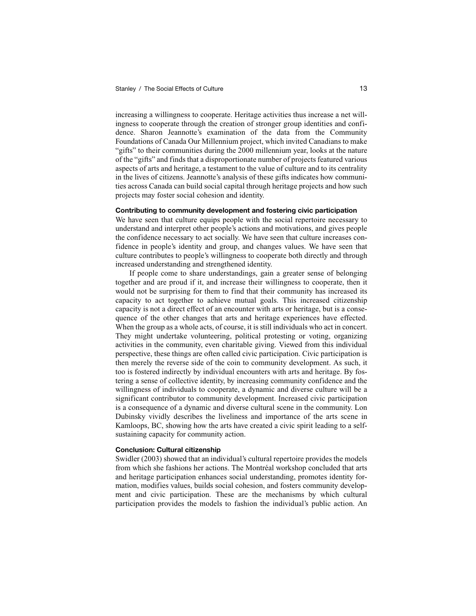increasing a willingness to cooperate. Heritage activities thus increase a net willingness to cooperate through the creation of stronger group identities and confidence. Sharon Jeannotte's examination of the data from the Community Foundations of Canada Our Millennium project, which invited Canadians to make "gifts" to their communities during the 2000 millennium year, looks at the nature of the "gifts" and finds that a disproportionate number of projects featured various aspects of arts and heritage, a testament to the value of culture and to its centrality in the lives of citizens. Jeannotte's analysis of these gifts indicates how communities across Canada can build social capital through heritage projects and how such projects may foster social cohesion and identity.

### **Contributing to community development and fostering civic participation**

We have seen that culture equips people with the social repertoire necessary to understand and interpret other people's actions and motivations, and gives people the confidence necessary to act socially. We have seen that culture increases confidence in people's identity and group, and changes values. We have seen that culture contributes to people's willingness to cooperate both directly and through increased understanding and strengthened identity.

If people come to share understandings, gain a greater sense of belonging together and are proud if it, and increase their willingness to cooperate, then it would not be surprising for them to find that their community has increased its capacity to act together to achieve mutual goals. This increased citizenship capacity is not a direct effect of an encounter with arts or heritage, but is a consequence of the other changes that arts and heritage experiences have effected. When the group as a whole acts, of course, it is still individuals who act in concert. They might undertake volunteering, political protesting or voting, organizing activities in the community, even charitable giving. Viewed from this individual perspective, these things are often called civic participation. Civic participation is then merely the reverse side of the coin to community development. As such, it too is fostered indirectly by individual encounters with arts and heritage. By fostering a sense of collective identity, by increasing community confidence and the willingness of individuals to cooperate, a dynamic and diverse culture will be a significant contributor to community development. Increased civic participation is a consequence of a dynamic and diverse cultural scene in the community. Lon Dubinsky vividly describes the liveliness and importance of the arts scene in Kamloops, BC, showing how the arts have created a civic spirit leading to a selfsustaining capacity for community action.

## **Conclusion: Cultural citizenship**

Swidler (2003) showed that an individual's cultural repertoire provides the models from which she fashions her actions. The Montréal workshop concluded that arts and heritage participation enhances social understanding, promotes identity formation, modifies values, builds social cohesion, and fosters community development and civic participation. These are the mechanisms by which cultural participation provides the models to fashion the individual's public action. An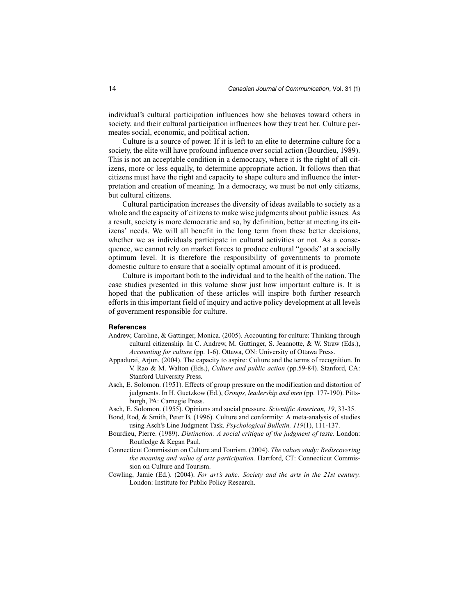individual's cultural participation influences how she behaves toward others in society, and their cultural participation influences how they treat her. Culture permeates social, economic, and political action.

Culture is a source of power. If it is left to an elite to determine culture for a society, the elite will have profound influence over social action (Bourdieu, 1989). This is not an acceptable condition in a democracy, where it is the right of all citizens, more or less equally, to determine appropriate action. It follows then that citizens must have the right and capacity to shape culture and influence the interpretation and creation of meaning. In a democracy, we must be not only citizens, but cultural citizens.

Cultural participation increases the diversity of ideas available to society as a whole and the capacity of citizens to make wise judgments about public issues. As a result, society is more democratic and so, by definition, better at meeting its citizens' needs. We will all benefit in the long term from these better decisions, whether we as individuals participate in cultural activities or not. As a consequence, we cannot rely on market forces to produce cultural "goods" at a socially optimum level. It is therefore the responsibility of governments to promote domestic culture to ensure that a socially optimal amount of it is produced.

Culture is important both to the individual and to the health of the nation. The case studies presented in this volume show just how important culture is. It is hoped that the publication of these articles will inspire both further research efforts in this important field of inquiry and active policy development at all levels of government responsible for culture.

#### **References**

- Andrew, Caroline, & Gattinger, Monica. (2005). Accounting for culture: Thinking through cultural citizenship. In C. Andrew, M. Gattinger, S. Jeannotte, & W. Straw (Eds.), *Accounting for culture* (pp. 1-6). Ottawa, ON: University of Ottawa Press.
- Appadurai, Arjun. (2004). The capacity to aspire: Culture and the terms of recognition. In V. Rao & M. Walton (Eds.), *Culture and public action* (pp.59-84). Stanford, CA: Stanford University Press.
- Asch, E. Solomon. (1951). Effects of group pressure on the modification and distortion of judgments. In H. Guetzkow (Ed.), *Groups, leadership and men* (pp. 177-190). Pittsburgh, PA: Carnegie Press.
- Asch, E. Solomon. (1955). Opinions and social pressure. *Scientific American, 19*, 33-35.
- Bond, Rod, & Smith, Peter B. (1996). Culture and conformity: A meta-analysis of studies using Asch's Line Judgment Task. *Psychological Bulletin, 119*(1), 111-137.
- Bourdieu, Pierre. (1989). *Distinction: A social critique of the judgment of taste.* London: Routledge & Kegan Paul.
- Connecticut Commission on Culture and Tourism. (2004). *The values study: Rediscovering the meaning and value of arts participation.* Hartford, CT: Connecticut Commission on Culture and Tourism.
- Cowling, Jamie (Ed.). (2004). *For art's sake: Society and the arts in the 21st century.* London: Institute for Public Policy Research.